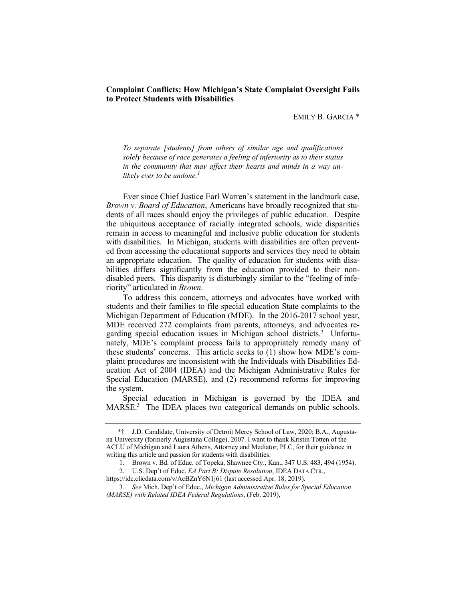# **Complaint Conflicts: How Michigan's State Complaint Oversight Fails to Protect Students with Disabilities**

EMILY B. GARCIA \*

 *To separate [students] from others of similar age and qualifications solely because of race generates a feeling of inferiority as to their status in the community that may affect their hearts and minds in a way un*likely ever to be undone.<sup>1</sup>

 Ever since Chief Justice Earl Warren's statement in the landmark case,  *Brown v. Board of Education*, Americans have broadly recognized that stu- dents of all races should enjoy the privileges of public education. Despite the ubiquitous acceptance of racially integrated schools, wide disparities remain in access to meaningful and inclusive public education for students with disabilities. In Michigan, students with disabilities are often prevent- ed from accessing the educational supports and services they need to obtain an appropriate education. The quality of education for students with disa- bilities differs significantly from the education provided to their non- disabled peers. This disparity is disturbingly similar to the "feeling of inferiority" articulated in *Brown*.

 To address this concern, attorneys and advocates have worked with students and their families to file special education State complaints to the Michigan Department of Education (MDE). In the 2016-2017 school year, MDE received 272 complaints from parents, attorneys, and advocates regarding special education issues in Michigan school districts.<sup>2</sup> Unfortu- nately, MDE's complaint process fails to appropriately remedy many of these students' concerns. This article seeks to (1) show how MDE's com- plaint procedures are inconsistent with the Individuals with Disabilities Ed- ucation Act of 2004 (IDEA) and the Michigan Administrative Rules for Special Education (MARSE), and (2) recommend reforms for improving the system.

MARSE.<sup>3</sup> The IDEA places two categorical demands on public schools. Special education in Michigan is governed by the IDEA and

 na University (formerly Augustana College), 2007. I want to thank Kristin Totten of the ACLU of Michigan and Laura Athens, Attorney and Mediator, PLC, for their guidance in writing this article and passion for students with disabilities. \*† J.D. Candidate, University of Detroit Mercy School of Law, 2020; B.A., Augusta-

<sup>1.</sup> Brown v. Bd. of Educ. of Topeka, Shawnee Cty., Kan., 347 U.S. 483, 494 (1954).

<sup>2.</sup> U.S. Dep't of Educ. *EA Part B: Dispute Resolution*, IDEA DATA CTR.,

 <https://idc.clicdata.com/v/AcBZnY6N1j61> (last accessed Apr. 18, 2019).

 *(MARSE) with Related IDEA Federal Regulations*, (Feb. 2019), 3*. See* Mich. Dep't of Educ., *Michigan Administrative Rules for Special Education*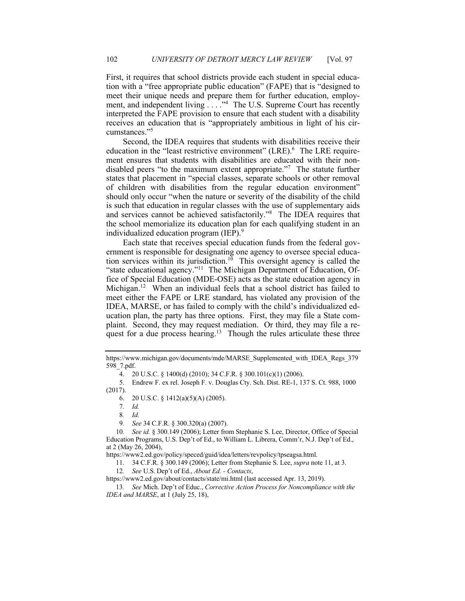First, it requires that school districts provide each student in special educa- tion with a "free appropriate public education" (FAPE) that is "designed to meet their unique needs and prepare them for further education, employment, and independent living  $\ldots$ .  $\cdot$ <sup>4</sup> The U.S. Supreme Court has recently interpreted the FAPE provision to ensure that each student with a disability receives an education that is "appropriately ambitious in light of his cir-cumstances."5

 Second, the IDEA requires that students with disabilities receive their education in the "least restrictive environment" (LRE).<sup>6</sup> The LRE require- ment ensures that students with disabilities are educated with their nondisabled peers "to the maximum extent appropriate."<sup>7</sup> The statute further of children with disabilities from the regular education environment" should only occur "when the nature or severity of the disability of the child is such that education in regular classes with the use of supplementary aids and services cannot be achieved satisfactorily."8 The IDEA requires that the school memorialize its education plan for each qualifying student in an states that placement in "special classes, separate schools or other removal individualized education program (IEP). 9

 Each state that receives special education funds from the federal gov- ernment is responsible for designating one agency to oversee special education services within its jurisdiction.<sup>10</sup> This oversight agency is called the "state educational agency."<sup>11</sup> The Michigan Department of Education, Of- fice of Special Education (MDE-OSE) acts as the state education agency in Michigan.<sup>12</sup> When an individual feels that a school district has failed to meet either the FAPE or LRE standard, has violated any provision of the IDEA, MARSE, or has failed to comply with the child's individualized ed- ucation plan, the party has three options. First, they may file a State com- plaint. Second, they may request mediation. Or third, they may file a request for a due process hearing.<sup>13</sup> Though the rules articulate these three

7*. Id.* 

8*. Id.* 

9*. See* 34 C.F.R. § 300.320(a) (2007).

 Education Programs, U.S. Dep't of Ed., to William L. Librera, Comm'r, N.J. Dep't of Ed., at 2 (May 26, 2004), 10*. See id.* § 300.149 (2006); Letter from Stephanie S. Lee, Director, Office of Special

<https://www2.ed.gov/policy/speced/guid/idea/letters/revpolicy/tpseagsa.html>.

11. 34 C.F.R. § 300.149 (2006); Letter from Stephanie S. Lee, *supra* note 11, at 3.

12*. See* U.S. Dep't of Ed., *About Ed. - Contacts*,

<https://www2.ed.gov/about/contacts/state/mi.html>(last accessed Apr. 13, 2019).

 *IDEA and MARSE*, at 1 (July 25, 18), 13*. See* Mich. Dep't of Educ., *Corrective Action Process for Noncompliance with the* 

[https://www.michigan.gov/documents/mde/MARSE\\_Supplemented\\_with\\_IDEA\\_Regs\\_379](https://www.michigan.gov/documents/mde/MARSE_Supplemented_with_IDEA_Regs_379)  598\_7.pdf.

<sup>4. 20</sup> U.S.C. § 1400(d) (2010); 34 C.F.R. § 300.101(c)(1) (2006).

<sup>5.</sup> Endrew F. ex rel. Joseph F. v. Douglas Cty. Sch. Dist. RE-1, 137 S. Ct. 988, 1000 (2017).

<sup>6. 20</sup> U.S.C. § 1412(a)(5)(A) (2005).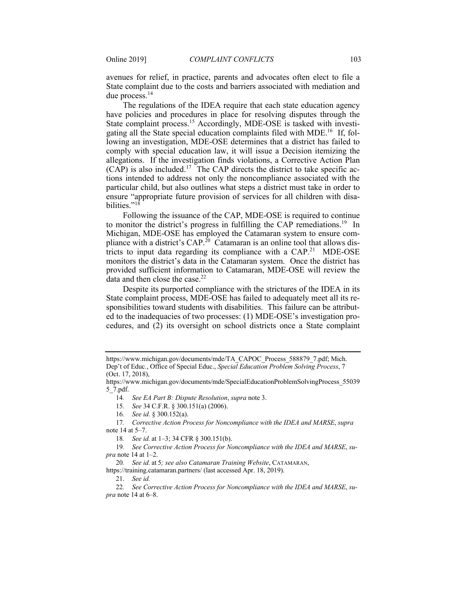avenues for relief, in practice, parents and advocates often elect to file a State complaint due to the costs and barriers associated with mediation and due process.<sup>14</sup>

 The regulations of the IDEA require that each state education agency State complaint process.<sup>15</sup> Accordingly, MDE-OSE is tasked with investigating all the State special education complaints filed with MDE.<sup>16</sup> If, fol- lowing an investigation, MDE-OSE determines that a district has failed to comply with special education law, it will issue a Decision itemizing the allegations. If the investigation finds violations, a Corrective Action Plan  $(CAP)$  is also included.<sup>17</sup> The CAP directs the district to take specific ac- tions intended to address not only the noncompliance associated with the particular child, but also outlines what steps a district must take in order to ensure "appropriate future provision of services for all children with disahave policies and procedures in place for resolving disputes through the bilities." $18$ 

 Following the issuance of the CAP, MDE-OSE is required to continue to monitor the district's progress in fulfilling the CAP remediations.<sup>19</sup> In Michigan, MDE-OSE has employed the Catamaran system to ensure compliance with a district's CAP.<sup>20</sup> Catamaran is an online tool that allows districts to input data regarding its compliance with a CAP.<sup>21</sup> MDE-OSE monitors the district's data in the Catamaran system. Once the district has provided sufficient information to Catamaran, MDE-OSE will review the data and then close the case.<sup>22</sup>

 Despite its purported compliance with the strictures of the IDEA in its State complaint process, MDE-OSE has failed to adequately meet all its re- sponsibilities toward students with disabilities. This failure can be attribut- ed to the inadequacies of two processes: (1) MDE-OSE's investigation pro-cedures, and (2) its oversight on school districts once a State complaint

14*. See EA Part B: Dispute Resolution*, *supra* note 3.

15*. See* 34 C.F.R. § 300.151(a) (2006).

16*. See id.* § 300.152(a).

 note 14 at 5–7. 17*. Corrective Action Process for Noncompliance with the IDEA and MARSE*, *supra* 

18*. See id.* at 1–3; 34 CFR § 300.151(b).

 *pra* note 14 at 1–2. 19*. See Corrective Action Process for Noncompliance with the IDEA and MARSE*, *su-*

20*. See id.* at 5*; see also Catamaran Training Website*, CATAMARAN,

<https://training.catamaran.partners>/ (last accessed Apr. 18, 2019).

 [https://www.michigan.gov/documents/mde/TA\\_CAPOC\\_Process\\_588879\\_7.pdf](https://www.michigan.gov/documents/mde/TA_CAPOC_Process_588879_7.pdf); Mich. (Oct. 17, 2018), Dep't of Educ*.*, Office of Special Educ., *Special Education Problem Solving Process*, 7

[https://www.michigan.gov/documents/mde/SpecialEducationProblemSolvingProcess\\_55039](https://www.michigan.gov/documents/mde/SpecialEducationProblemSolvingProcess_55039) 5\_7.pdf.

<sup>21.</sup> *See id.* 

 *pra* note 14 at 6–8. 22*. See Corrective Action Process for Noncompliance with the IDEA and MARSE*, *su-*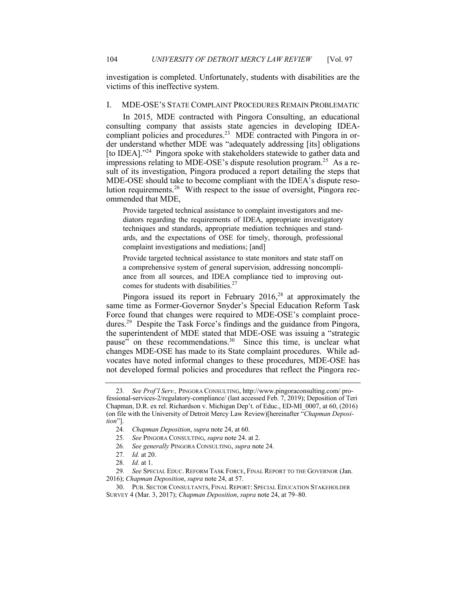investigation is completed. Unfortunately, students with disabilities are the victims of this ineffective system.

## I. MDE-OSE'S STATE COMPLAINT PROCEDURES REMAIN PROBLEMATIC

 In 2015, MDE contracted with Pingora Consulting, an educational consulting company that assists state agencies in developing IDEAcompliant policies and procedures.<sup>23</sup> MDE contracted with Pingora in or- der understand whether MDE was "adequately addressing [its] obligations [to IDEA]."<sup>24</sup> Pingora spoke with stakeholders statewide to gather data and impressions relating to MDE-OSE's dispute resolution program.<sup>25</sup> As a re- sult of its investigation, Pingora produced a report detailing the steps that MDE-OSE should take to become compliant with the IDEA's dispute resolution requirements.<sup>26</sup> With respect to the issue of oversight, Pingora recommended that MDE,

 Provide targeted technical assistance to complaint investigators and me- diators regarding the requirements of IDEA, appropriate investigatory techniques and standards, appropriate mediation techniques and stand- ards, and the expectations of OSE for timely, thorough, professional complaint investigations and mediations; [and]

 Provide targeted technical assistance to state monitors and state staff on a comprehensive system of general supervision, addressing noncompli- ance from all sources, and IDEA compliance tied to improving outcomes for students with disabilities.<sup>27</sup>

Pingora issued its report in February  $2016$ ,<sup>28</sup> at approximately the same time as Former-Governor Snyder's Special Education Reform Task Force found that changes were required to MDE-OSE's complaint procedures.<sup>29</sup> Despite the Task Force's findings and the guidance from Pingora, the superintendent of MDE stated that MDE-OSE was issuing a "strategic pause" on these recommendations.<sup>30</sup> Since this time, is unclear what changes MDE-OSE has made to its State complaint procedures. While ad- vocates have noted informal changes to these procedures, MDE-OSE has not developed formal policies and procedures that reflect the Pingora rec-

 fessional-services-2/regulatory-compliance/ (last accessed Feb. 7, 2019); Deposition of Teri Chapman, D.R. ex rel. Richardson v. Michigan Dep't. of Educ., ED-MI\_0007, at 60, (2016) (on file with the University of Detroit Mercy Law Review)[hereinafter "*Chapman Deposi-*23*. See Prof'l Serv.,* PINGORA CONSULTING, [http://www.pingoraconsulting.com/](http://www.pingoraconsulting.com) pro*tion*"].

<sup>24</sup>*. Chapman Deposition*, *supra* note 24, at 60.

<sup>25</sup>*. See* PINGORA CONSULTING, *supra* note 24. at 2.

<sup>26</sup>*. See generally* PINGORA CONSULTING, *supra* note 24.

<sup>27</sup>*. Id.* at 20.

<sup>28</sup>*. Id.* at 1.

 2016); *Chapman Deposition*, *supra* note 24, at 57. 29*. See* SPECIAL EDUC. REFORM TASK FORCE, FINAL REPORT TO THE GOVERNOR (Jan.

 SURVEY 4 (Mar. 3, 2017); *Chapman Deposition*, *supra* note 24, at 79–80. 30. PUB. SECTOR CONSULTANTS, FINAL REPORT: SPECIAL EDUCATION STAKEHOLDER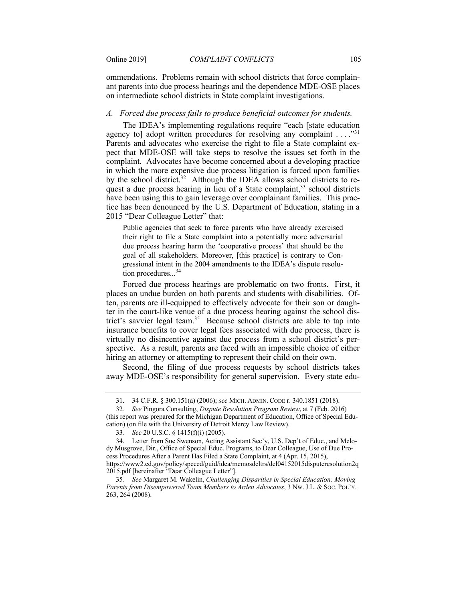ommendations. Problems remain with school districts that force complain- ant parents into due process hearings and the dependence MDE-OSE places on intermediate school districts in State complaint investigations.

## *A. Forced due process fails to produce beneficial outcomes for students.*

agency to] adopt written procedures for resolving any complaint  $\dots$ ."<sup>31</sup> pect that MDE-OSE will take steps to resolve the issues set forth in the complaint. Advocates have become concerned about a developing practice in which the more expensive due process litigation is forced upon families by the school district.<sup>32</sup> Although the IDEA allows school districts to request a due process hearing in lieu of a State complaint,<sup>33</sup> school districts have been using this to gain leverage over complainant families. This prac- tice has been denounced by the U.S. Department of Education, stating in a 2015 "Dear Colleague Letter" that: The IDEA's implementing regulations require "each [state education Parents and advocates who exercise the right to file a State complaint ex-

 Public agencies that seek to force parents who have already exercised their right to file a State complaint into a potentially more adversarial due process hearing harm the 'cooperative process' that should be the goal of all stakeholders. Moreover, [this practice] is contrary to Con- gressional intent in the 2004 amendments to the IDEA's dispute resolution procedures...<sup>34</sup>

 Forced due process hearings are problematic on two fronts. First, it places an undue burden on both parents and students with disabilities. Of- ten, parents are ill-equipped to effectively advocate for their son or daugh- ter in the court-like venue of a due process hearing against the school district's savvier legal team.<sup>35</sup> Because school districts are able to tap into insurance benefits to cover legal fees associated with due process, there is virtually no disincentive against due process from a school district's per- spective. As a result, parents are faced with an impossible choice of either hiring an attorney or attempting to represent their child on their own.

 Second, the filing of due process requests by school districts takes away MDE-OSE's responsibility for general supervision. Every state edu-

<sup>31. 34</sup> C.F.R. § 300.151(a) (2006); *see* MICH. ADMIN. CODE r. 340.1851 (2018).

 (this report was prepared for the Michigan Department of Education, Office of Special Edu- cation) (on file with the University of Detroit Mercy Law Review). 32*. See* Pingora Consulting, *Dispute Resolution Program Review*, at 7 (Feb. 2016)

<sup>33</sup>*. See* 20 U.S.C. § 1415(f)(i) (2005).

 dy Musgrove, Dir., Office of Special Educ. Programs, to Dear Colleague, Use of Due Pro- cess Procedures After a Parent Has Filed a State Complaint, at 4 (Apr. 15, 2015), 34. Letter from Sue Swenson, Acting Assistant Sec'y, U.S. Dep't of Educ., and Melo<https://www2.ed.gov/policy/speced/guid/idea/memosdcltrs/dcl04152015disputeresolution2q>

 2015.pdf [hereinafter "Dear Colleague Letter"].  *Parents from Disempowered Team Members to Arden Advocates*, 3 NW. J.L. & SOC. POL'Y. 35*. See* Margaret M. Wakelin, *Challenging Disparities in Special Education: Moving*  263, 264 (2008).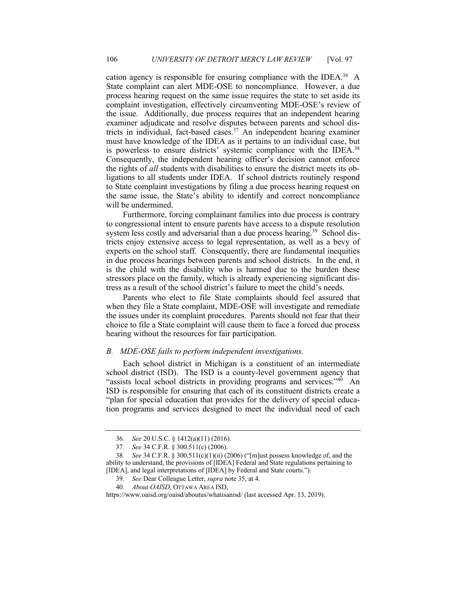cation agency is responsible for ensuring compliance with the IDEA.<sup>36</sup> A State complaint can alert MDE-OSE to noncompliance. However, a due process hearing request on the same issue requires the state to set aside its the issue. Additionally, due process requires that an independent hearing examiner adjudicate and resolve disputes between parents and school districts in individual, fact-based cases.<sup>37</sup> An independent hearing examiner must have knowledge of the IDEA as it pertains to an individual case, but is powerless to ensure districts' systemic compliance with the IDEA.<sup>38</sup> Consequently, the independent hearing officer's decision cannot enforce the rights of *all* students with disabilities to ensure the district meets its ob- ligations to all students under IDEA. If school districts routinely respond to State complaint investigations by filing a due process hearing request on the same issue, the State's ability to identify and correct noncompliance will be undermined. complaint investigation, effectively circumventing MDE-OSE's review of

 Furthermore, forcing complainant families into due process is contrary to congressional intent to ensure parents have access to a dispute resolution system less costly and adversarial than a due process hearing.<sup>39</sup> School dis- tricts enjoy extensive access to legal representation, as well as a bevy of experts on the school staff. Consequently, there are fundamental inequities in due process hearings between parents and school districts. In the end, it is the child with the disability who is harmed due to the burden these stressors place on the family, which is already experiencing significant distress as a result of the school district's failure to meet the child's needs.

 Parents who elect to file State complaints should feel assured that when they file a State complaint, MDE-OSE will investigate and remediate the issues under its complaint procedures. Parents should not fear that their choice to file a State complaint will cause them to face a forced due process hearing without the resources for fair participation.

## *B. MDE-OSE fails to perform independent investigations.*

 Each school district in Michigan is a constituent of an intermediate school district (ISD). The ISD is a county-level government agency that "assists local school districts in providing programs and services."<sup>40</sup> An ISD is responsible for ensuring that each of its constituent districts create a "plan for special education that provides for the delivery of special educa-tion programs and services designed to meet the individual need of each

<sup>36</sup>*. See* 20 U.S.C. § 1412(a)(11) (2016).

<sup>37</sup>*. See* 34 C.F.R. § 300.511(c) (2006).

 ability to understand, the provisions of [IDEA] Federal and State regulations pertaining to [IDEA], and legal interpretations of [IDEA] by Federal and State courts."). 38*. See* 34 C.F.R. § 300.511(c)(1)(ii) (2006) ("[m]ust possess knowledge of, and the

<sup>39</sup>*. See* Dear Colleague Letter, *supra* note 35, at 4.

<sup>40</sup>*. About OAISD*, OTTAWA AREA ISD,

 [https://www.oaisd.org/oaisd/aboutus/whatisanisd/](https://www.oaisd.org/oaisd/aboutus/whatisanisd) (last accessed Apr. 13, 2019).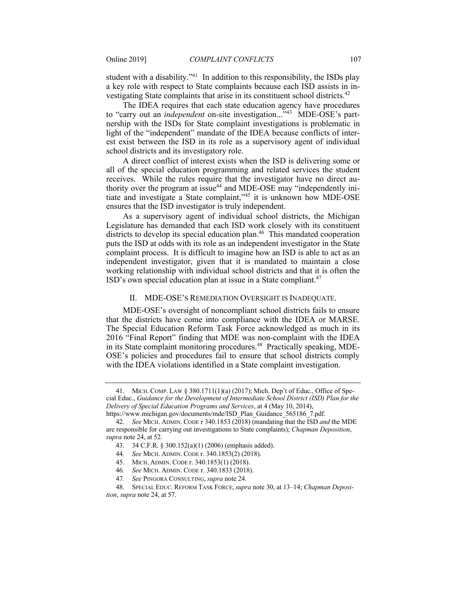student with a disability."<sup>41</sup> In addition to this responsibility, the ISDs play a key role with respect to State complaints because each ISD assists in investigating State complaints that arise in its constituent school districts.<sup>42</sup>

 The IDEA requires that each state education agency have procedures to "carry out an *independent* on-site investigation..."43 MDE-OSE's part- nership with the ISDs for State complaint investigations is problematic in light of the "independent" mandate of the IDEA because conflicts of inter- est exist between the ISD in its role as a supervisory agent of individual school districts and its investigatory role.

 A direct conflict of interest exists when the ISD is delivering some or all of the special education programming and related services the student receives. While the rules require that the investigator have no direct authority over the program at issue<sup>44</sup> and MDE-OSE may "independently ini- tiate and investigate a State complaint,"45 it is unknown how MDE-OSE ensures that the ISD investigator is truly independent.

 As a supervisory agent of individual school districts, the Michigan Legislature has demanded that each ISD work closely with its constituent districts to develop its special education plan.<sup>46</sup> This mandated cooperation puts the ISD at odds with its role as an independent investigator in the State complaint process. It is difficult to imagine how an ISD is able to act as an independent investigator, given that it is mandated to maintain a close working relationship with individual school districts and that it is often the ISD's own special education plan at issue in a State compliant.<sup>47</sup>

## II. MDE-OSE'S REMEDIATION OVERSIGHT IS INADEQUATE.

 MDE-OSE's oversight of noncompliant school districts fails to ensure that the districts have come into compliance with the IDEA or MARSE. The Special Education Reform Task Force acknowledged as much in its 2016 "Final Report" finding that MDE was non-complaint with the IDEA in its State complaint monitoring procedures.<sup>48</sup> Practically speaking, MDE- OSE's policies and procedures fail to ensure that school districts comply with the IDEA violations identified in a State complaint investigation.

 cial Educ., *Guidance for the Development of Intermediate School District (ISD) Plan for the Delivery of Special Education Programs and Services*, at 4 (May 10, 2014), 41. MICH. COMP. LAW § 380.1711(1)(a) (2017); Mich. Dep't of Educ., Office of Spe[https://www.michigan.gov/documents/mde/ISD\\_Plan\\_Guidance\\_565186\\_7.pdf.](https://www.michigan.gov/documents/mde/ISD_Plan_Guidance_565186_7.pdf)

 are responsible for carrying out investigations to State complaints); *Chapman Deposition*, *supra* note 24, at 52. 42*. See* MICH. ADMIN. CODE r 340.1853 (2018) (mandating that the ISD *and* the MDE

<sup>43. 34</sup> C.F.R. § 300.152(a)(1) (2006) (emphasis added).

<sup>44</sup>*. See* MICH. ADMIN. CODE r. 340.1853(2) (2018).

<sup>45.</sup> MICH. ADMIN. CODE r. 340.1853(1) (2018).

<sup>46</sup>*. See* MICH. ADMIN. CODE r. 340.1833 (2018).

<sup>47</sup>*. See* PINGORA CONSULTING, *supra* note 24.

 *tion*, *supra* note 24, at 57. 48. SPECIAL EDUC. REFORM TASK FORCE, *supra* note 30, at 13–14; *Chapman Deposi-*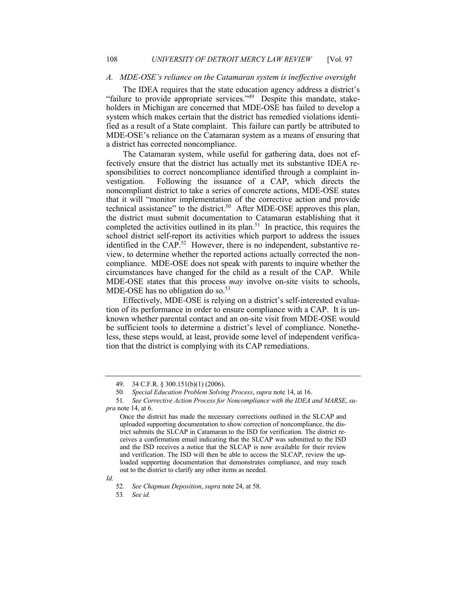#### *A. MDE-OSE's reliance on the Catamaran system is ineffective oversight*

 The IDEA requires that the state education agency address a district's "failure to provide appropriate services."<sup>49</sup> Despite this mandate, stake- holders in Michigan are concerned that MDE-OSE has failed to develop a system which makes certain that the district has remedied violations identi- fied as a result of a State complaint. This failure can partly be attributed to MDE-OSE's reliance on the Catamaran system as a means of ensuring that a district has corrected noncompliance.

 The Catamaran system, while useful for gathering data, does not ef- fectively ensure that the district has actually met its substantive IDEA re- sponsibilities to correct noncompliance identified through a complaint investigation. noncompliant district to take a series of concrete actions, MDE-OSE states that it will "monitor implementation of the corrective action and provide technical assistance" to the district.<sup>50</sup> After MDE-OSE approves this plan, the district must submit documentation to Catamaran establishing that it completed the activities outlined in its plan.<sup>51</sup> In practice, this requires the school district self-report its activities which purport to address the issues identified in the CAP.<sup>52</sup> However, there is no independent, substantive re- compliance. MDE-OSE does not speak with parents to inquire whether the circumstances have changed for the child as a result of the CAP. While MDE-OSE states that this process *may* involve on-site visits to schools, MDE-OSE has no obligation do so.<sup>53</sup> Following the issuance of a CAP, which directs the view, to determine whether the reported actions actually corrected the non-

 Effectively, MDE-OSE is relying on a district's self-interested evalua- tion of its performance in order to ensure compliance with a CAP. It is un- known whether parental contact and an on-site visit from MDE-OSE would be sufficient tools to determine a district's level of compliance. Nonethe- less, these steps would, at least, provide some level of independent verification that the district is complying with its CAP remediations.

*Id.* 

53*. See id.* 

<sup>49. 34</sup> C.F.R. § 300.151(b)(1) (2006).

<sup>50</sup>*. Special Education Problem Solving Process*, *supra* note 14, at 16.

 *pra* note 14, at 6. 51*. See Corrective Action Process for Noncompliance with the IDEA and MARSE*, *su-*

 Once the district has made the necessary corrections outlined in the SLCAP and uploaded supporting documentation to show correction of noncompliance, the dis- trict submits the SLCAP in Catamaran to the ISD for verification. The district re- ceives a confirmation email indicating that the SLCAP was submitted to the ISD and the ISD receives a notice that the SLCAP is now available for their review and verification. The ISD will then be able to access the SLCAP, review the up- loaded supporting documentation that demonstrates compliance, and may reach out to the district to clarify any other items as needed.

<sup>52</sup>*. See Chapman Deposition*, *supra* note 24, at 58.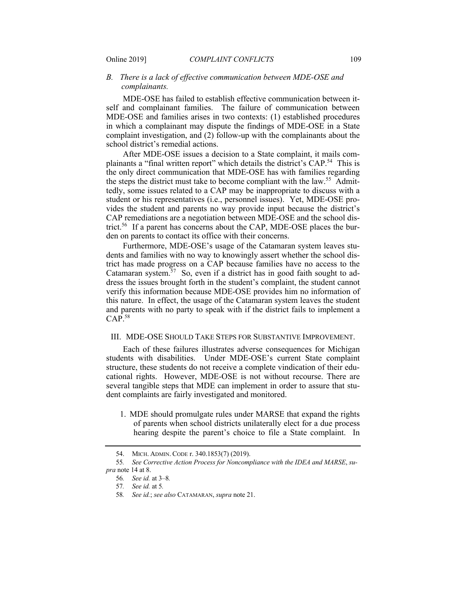# *B. There is a lack of effective communication between MDE-OSE and complainants.*

 MDE-OSE has failed to establish effective communication between it- self and complainant families. The failure of communication between MDE-OSE and families arises in two contexts: (1) established procedures in which a complainant may dispute the findings of MDE-OSE in a State complaint investigation, and (2) follow-up with the complainants about the school district's remedial actions.

 After MDE-OSE issues a decision to a State complaint, it mails complainants a "final written report" which details the district's CAP.<sup>54</sup> This is the only direct communication that MDE-OSE has with families regarding the steps the district must take to become compliant with the law.<sup>55</sup> Admit- tedly, some issues related to a CAP may be inappropriate to discuss with a vides the student and parents no way provide input because the district's CAP remediations are a negotiation between MDE-OSE and the school district.<sup>56</sup> If a parent has concerns about the CAP, MDE-OSE places the bur- den on parents to contact its office with their concerns. student or his representatives (i.e., personnel issues). Yet, MDE-OSE pro-

 Furthermore, MDE-OSE's usage of the Catamaran system leaves stu- dents and families with no way to knowingly assert whether the school dis- trict has made progress on a CAP because families have no access to the Catamaran system. $57$  So, even if a district has in good faith sought to ad- dress the issues brought forth in the student's complaint, the student cannot verify this information because MDE-OSE provides him no information of this nature. In effect, the usage of the Catamaran system leaves the student and parents with no party to speak with if the district fails to implement a  $CAP.<sup>58</sup>$ 

## III. MDE-OSE SHOULD TAKE STEPS FOR SUBSTANTIVE IMPROVEMENT.

 Each of these failures illustrates adverse consequences for Michigan students with disabilities. Under MDE-OSE's current State complaint structure, these students do not receive a complete vindication of their edu- cational rights. However, MDE-OSE is not without recourse. There are several tangible steps that MDE can implement in order to assure that stu-dent complaints are fairly investigated and monitored.

 1. MDE should promulgate rules under MARSE that expand the rights of parents when school districts unilaterally elect for a due process hearing despite the parent's choice to file a State complaint. In

<sup>54.</sup> MICH. ADMIN. CODE r. 340.1853(7) (2019).

 *pra* note 14 at 8. 55*. See Corrective Action Process for Noncompliance with the IDEA and MARSE*, *su-*

<sup>56</sup>*. See id.* at 3–8*.* 

<sup>57</sup>*. See id.* at 5*.* 

<sup>58</sup>*. See id.*; *see also* CATAMARAN, *supra* note 21.